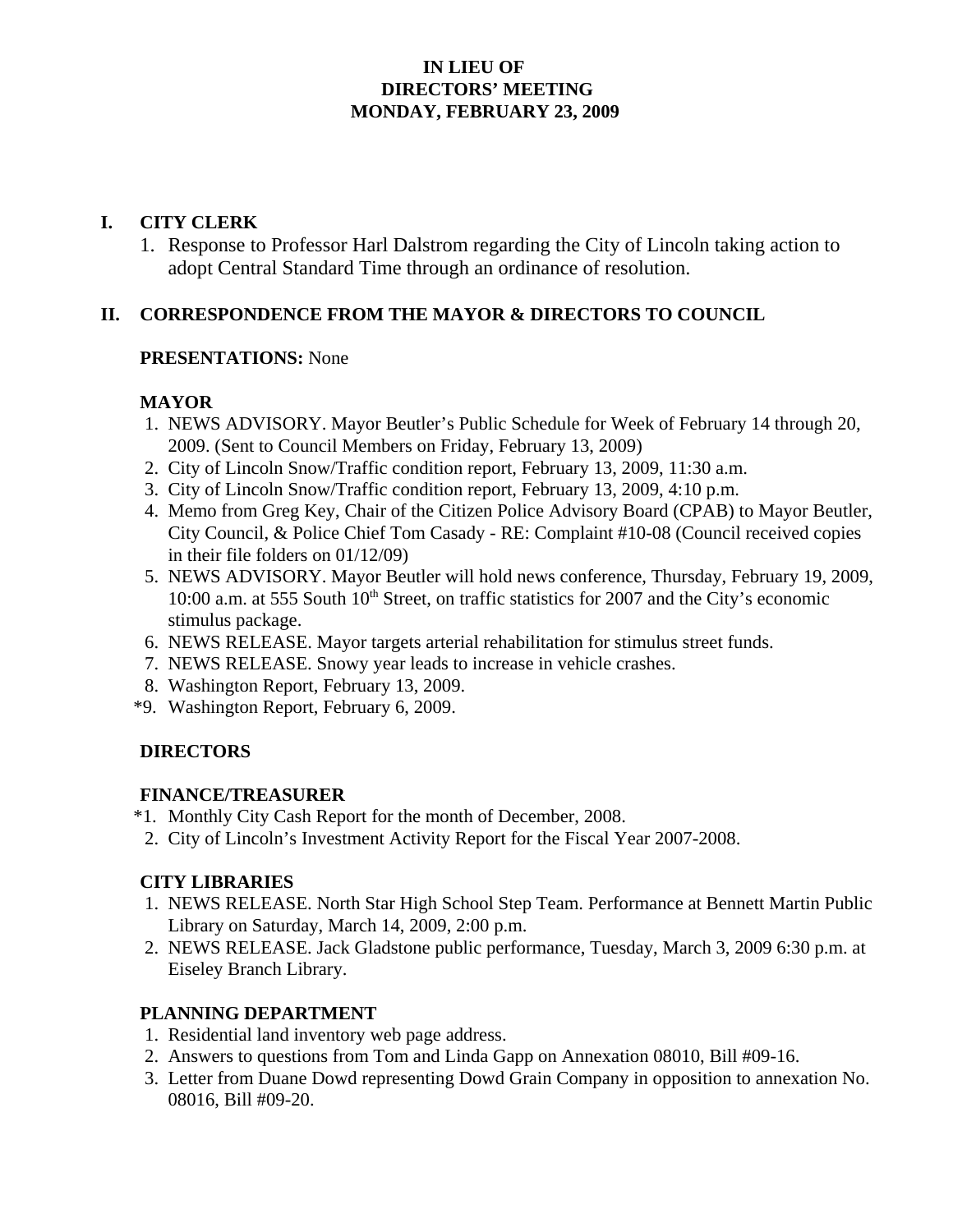### **IN LIEU OF DIRECTORS' MEETING MONDAY, FEBRUARY 23, 2009**

### **I. CITY CLERK**

1. Response to Professor Harl Dalstrom regarding the City of Lincoln taking action to adopt Central Standard Time through an ordinance of resolution.

## **II. CORRESPONDENCE FROM THE MAYOR & DIRECTORS TO COUNCIL**

#### **PRESENTATIONS:** None

## **MAYOR**

- 1. NEWS ADVISORY. Mayor Beutler's Public Schedule for Week of February 14 through 20, 2009. (Sent to Council Members on Friday, February 13, 2009)
- 2. City of Lincoln Snow/Traffic condition report, February 13, 2009, 11:30 a.m.
- 3. City of Lincoln Snow/Traffic condition report, February 13, 2009, 4:10 p.m.
- 4. Memo from Greg Key, Chair of the Citizen Police Advisory Board (CPAB) to Mayor Beutler, City Council, & Police Chief Tom Casady - RE: Complaint #10-08 (Council received copies in their file folders on 01/12/09)
- 5. NEWS ADVISORY. Mayor Beutler will hold news conference, Thursday, February 19, 2009, 10:00 a.m. at 555 South 10<sup>th</sup> Street, on traffic statistics for 2007 and the City's economic stimulus package.
- 6. NEWS RELEASE. Mayor targets arterial rehabilitation for stimulus street funds.
- 7. NEWS RELEASE. Snowy year leads to increase in vehicle crashes.
- 8. Washington Report, February 13, 2009.
- \*9. Washington Report, February 6, 2009.

#### **DIRECTORS**

#### **FINANCE/TREASURER**

- \*1. Monthly City Cash Report for the month of December, 2008.
- 2. City of Lincoln's Investment Activity Report for the Fiscal Year 2007-2008.

#### **CITY LIBRARIES**

- 1. NEWS RELEASE. North Star High School Step Team. Performance at Bennett Martin Public Library on Saturday, March 14, 2009, 2:00 p.m.
- 2. NEWS RELEASE. Jack Gladstone public performance, Tuesday, March 3, 2009 6:30 p.m. at Eiseley Branch Library.

#### **PLANNING DEPARTMENT**

- 1. Residential land inventory web page address.
- 2. Answers to questions from Tom and Linda Gapp on Annexation 08010, Bill #09-16.
- 3. Letter from Duane Dowd representing Dowd Grain Company in opposition to annexation No. 08016, Bill #09-20.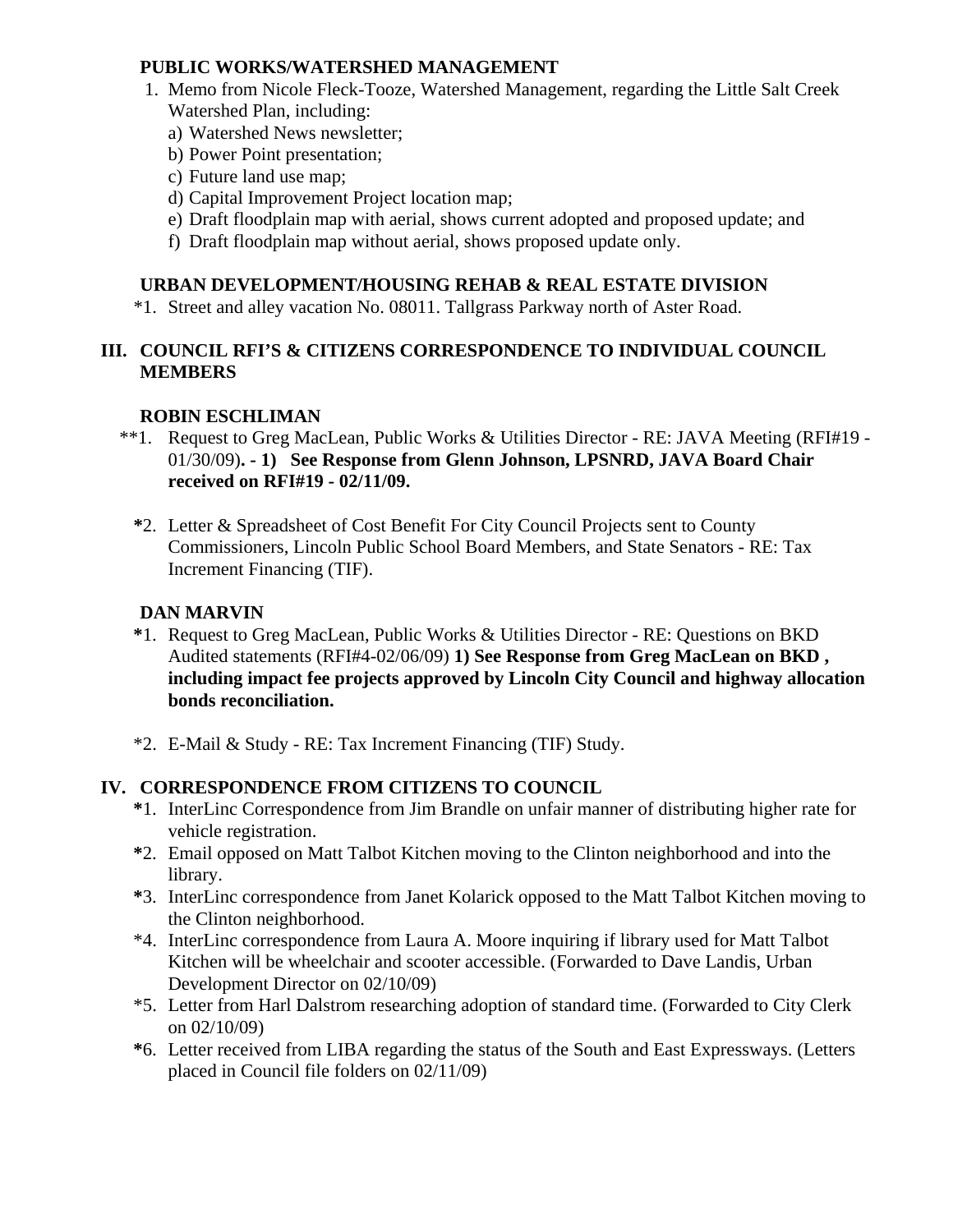#### **PUBLIC WORKS/WATERSHED MANAGEMENT**

- 1. Memo from Nicole Fleck-Tooze, Watershed Management, regarding the Little Salt Creek Watershed Plan, including:
	- a) Watershed News newsletter;
	- b) Power Point presentation;
	- c) Future land use map;
	- d) Capital Improvement Project location map;
	- e) Draft floodplain map with aerial, shows current adopted and proposed update; and
	- f) Draft floodplain map without aerial, shows proposed update only.

### **URBAN DEVELOPMENT/HOUSING REHAB & REAL ESTATE DIVISION**

\*1. Street and alley vacation No. 08011. Tallgrass Parkway north of Aster Road.

## **III. COUNCIL RFI'S & CITIZENS CORRESPONDENCE TO INDIVIDUAL COUNCIL MEMBERS**

## **ROBIN ESCHLIMAN**

- \*\*1. Request to Greg MacLean, Public Works & Utilities Director RE: JAVA Meeting (RFI#19 01/30/09)**. - 1) See Response from Glenn Johnson, LPSNRD, JAVA Board Chair received on RFI#19 - 02/11/09.** 
	- **\***2. Letter & Spreadsheet of Cost Benefit For City Council Projects sent to County Commissioners, Lincoln Public School Board Members, and State Senators - RE: Tax Increment Financing (TIF).

# **DAN MARVIN**

- **\***1. Request to Greg MacLean, Public Works & Utilities Director RE: Questions on BKD Audited statements (RFI#4-02/06/09) **1) See Response from Greg MacLean on BKD , including impact fee projects approved by Lincoln City Council and highway allocation bonds reconciliation.**
- \*2. E-Mail & Study RE: Tax Increment Financing (TIF) Study.

## **IV. CORRESPONDENCE FROM CITIZENS TO COUNCIL**

- **\***1. InterLinc Correspondence from Jim Brandle on unfair manner of distributing higher rate for vehicle registration.
- **\***2. Email opposed on Matt Talbot Kitchen moving to the Clinton neighborhood and into the library.
- **\***3. InterLinc correspondence from Janet Kolarick opposed to the Matt Talbot Kitchen moving to the Clinton neighborhood.
- \*4. InterLinc correspondence from Laura A. Moore inquiring if library used for Matt Talbot Kitchen will be wheelchair and scooter accessible. (Forwarded to Dave Landis, Urban Development Director on 02/10/09)
- \*5. Letter from Harl Dalstrom researching adoption of standard time. (Forwarded to City Clerk on 02/10/09)
- **\***6. Letter received from LIBA regarding the status of the South and East Expressways. (Letters placed in Council file folders on 02/11/09)